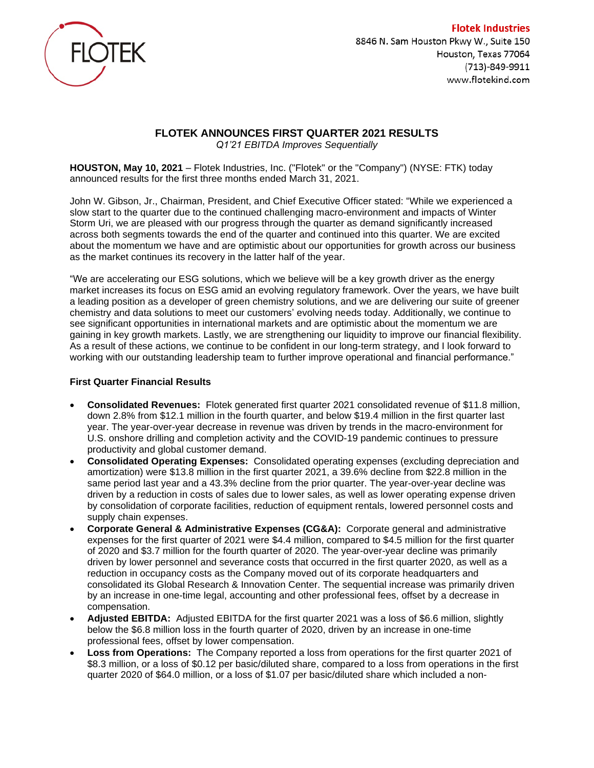

**Flotek Industries** 8846 N. Sam Houston Pkwy W., Suite 150 Houston, Texas 77064 (713)-849-9911 www.flotekind.com

# **FLOTEK ANNOUNCES FIRST QUARTER 2021 RESULTS**

*Q1'21 EBITDA Improves Sequentially*

**HOUSTON, May 10, 2021** – Flotek Industries, Inc. ("Flotek" or the "Company") (NYSE: FTK) today announced results for the first three months ended March 31, 2021.

John W. Gibson, Jr., Chairman, President, and Chief Executive Officer stated: "While we experienced a slow start to the quarter due to the continued challenging macro-environment and impacts of Winter Storm Uri, we are pleased with our progress through the quarter as demand significantly increased across both segments towards the end of the quarter and continued into this quarter. We are excited about the momentum we have and are optimistic about our opportunities for growth across our business as the market continues its recovery in the latter half of the year.

"We are accelerating our ESG solutions, which we believe will be a key growth driver as the energy market increases its focus on ESG amid an evolving regulatory framework. Over the years, we have built a leading position as a developer of green chemistry solutions, and we are delivering our suite of greener chemistry and data solutions to meet our customers' evolving needs today. Additionally, we continue to see significant opportunities in international markets and are optimistic about the momentum we are gaining in key growth markets. Lastly, we are strengthening our liquidity to improve our financial flexibility. As a result of these actions, we continue to be confident in our long-term strategy, and I look forward to working with our outstanding leadership team to further improve operational and financial performance."

# **First Quarter Financial Results**

- **Consolidated Revenues:** Flotek generated first quarter 2021 consolidated revenue of \$11.8 million, down 2.8% from \$12.1 million in the fourth quarter, and below \$19.4 million in the first quarter last year. The year-over-year decrease in revenue was driven by trends in the macro-environment for U.S. onshore drilling and completion activity and the COVID-19 pandemic continues to pressure productivity and global customer demand.
- **Consolidated Operating Expenses:** Consolidated operating expenses (excluding depreciation and amortization) were \$13.8 million in the first quarter 2021, a 39.6% decline from \$22.8 million in the same period last year and a 43.3% decline from the prior quarter. The year-over-year decline was driven by a reduction in costs of sales due to lower sales, as well as lower operating expense driven by consolidation of corporate facilities, reduction of equipment rentals, lowered personnel costs and supply chain expenses.
- **Corporate General & Administrative Expenses (CG&A):** Corporate general and administrative expenses for the first quarter of 2021 were \$4.4 million, compared to \$4.5 million for the first quarter of 2020 and \$3.7 million for the fourth quarter of 2020. The year-over-year decline was primarily driven by lower personnel and severance costs that occurred in the first quarter 2020, as well as a reduction in occupancy costs as the Company moved out of its corporate headquarters and consolidated its Global Research & Innovation Center. The sequential increase was primarily driven by an increase in one-time legal, accounting and other professional fees, offset by a decrease in compensation.
- **Adjusted EBITDA:** Adjusted EBITDA for the first quarter 2021 was a loss of \$6.6 million, slightly below the \$6.8 million loss in the fourth quarter of 2020, driven by an increase in one-time professional fees, offset by lower compensation.
- **Loss from Operations:** The Company reported a loss from operations for the first quarter 2021 of \$8.3 million, or a loss of \$0.12 per basic/diluted share, compared to a loss from operations in the first quarter 2020 of \$64.0 million, or a loss of \$1.07 per basic/diluted share which included a non-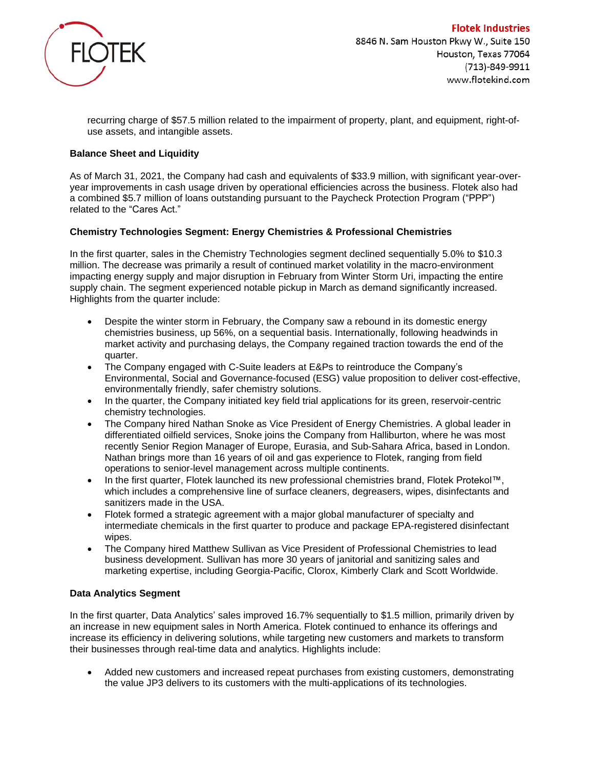

recurring charge of \$57.5 million related to the impairment of property, plant, and equipment, right-ofuse assets, and intangible assets.

# **Balance Sheet and Liquidity**

As of March 31, 2021, the Company had cash and equivalents of \$33.9 million, with significant year-overyear improvements in cash usage driven by operational efficiencies across the business. Flotek also had a combined \$5.7 million of loans outstanding pursuant to the Paycheck Protection Program ("PPP") related to the "Cares Act."

# **Chemistry Technologies Segment: Energy Chemistries & Professional Chemistries**

In the first quarter, sales in the Chemistry Technologies segment declined sequentially 5.0% to \$10.3 million. The decrease was primarily a result of continued market volatility in the macro-environment impacting energy supply and major disruption in February from Winter Storm Uri, impacting the entire supply chain. The segment experienced notable pickup in March as demand significantly increased. Highlights from the quarter include:

- Despite the winter storm in February, the Company saw a rebound in its domestic energy chemistries business, up 56%, on a sequential basis. Internationally, following headwinds in market activity and purchasing delays, the Company regained traction towards the end of the quarter.
- The Company engaged with C-Suite leaders at E&Ps to reintroduce the Company's Environmental, Social and Governance-focused (ESG) value proposition to deliver cost-effective, environmentally friendly, safer chemistry solutions.
- In the quarter, the Company initiated key field trial applications for its green, reservoir-centric chemistry technologies.
- The Company hired Nathan Snoke as Vice President of Energy Chemistries. A global leader in differentiated oilfield services, Snoke joins the Company from Halliburton, where he was most recently Senior Region Manager of Europe, Eurasia, and Sub-Sahara Africa, based in London. Nathan brings more than 16 years of oil and gas experience to Flotek, ranging from field operations to senior-level management across multiple continents.
- In the first quarter, Flotek launched its new professional chemistries brand, Flotek Protekol™, which includes a comprehensive line of surface cleaners, degreasers, wipes, disinfectants and sanitizers made in the USA.
- Flotek formed a strategic agreement with a major global manufacturer of specialty and intermediate chemicals in the first quarter to produce and package EPA-registered disinfectant wipes.
- The Company hired Matthew Sullivan as Vice President of Professional Chemistries to lead business development. Sullivan has more 30 years of janitorial and sanitizing sales and marketing expertise, including Georgia-Pacific, Clorox, Kimberly Clark and Scott Worldwide.

## **Data Analytics Segment**

In the first quarter, Data Analytics' sales improved 16.7% sequentially to \$1.5 million, primarily driven by an increase in new equipment sales in North America. Flotek continued to enhance its offerings and increase its efficiency in delivering solutions, while targeting new customers and markets to transform their businesses through real-time data and analytics. Highlights include:

• Added new customers and increased repeat purchases from existing customers, demonstrating the value JP3 delivers to its customers with the multi-applications of its technologies.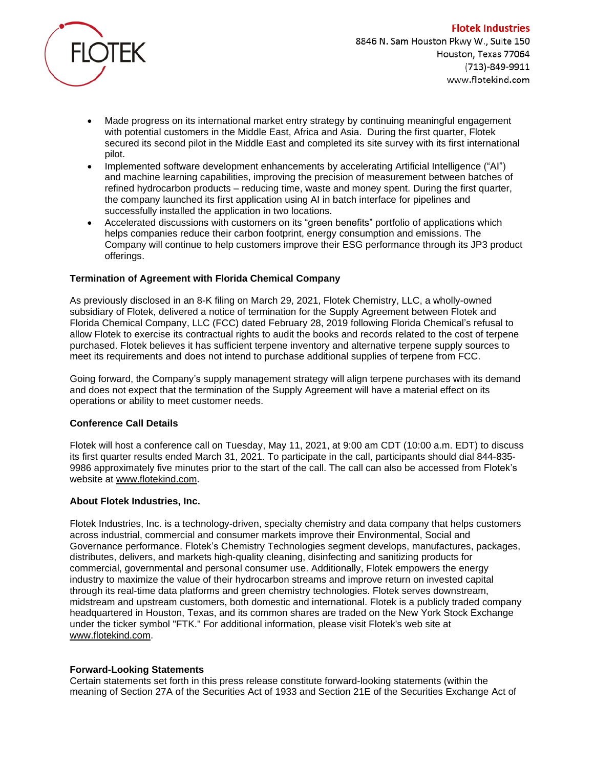

- Made progress on its international market entry strategy by continuing meaningful engagement with potential customers in the Middle East, Africa and Asia. During the first quarter, Flotek secured its second pilot in the Middle East and completed its site survey with its first international pilot.
- Implemented software development enhancements by accelerating Artificial Intelligence ("AI") and machine learning capabilities, improving the precision of measurement between batches of refined hydrocarbon products – reducing time, waste and money spent. During the first quarter, the company launched its first application using AI in batch interface for pipelines and successfully installed the application in two locations.
- Accelerated discussions with customers on its "green benefits" portfolio of applications which helps companies reduce their carbon footprint, energy consumption and emissions. The Company will continue to help customers improve their ESG performance through its JP3 product offerings.

# **Termination of Agreement with Florida Chemical Company**

As previously disclosed in an 8-K filing on March 29, 2021, Flotek Chemistry, LLC, a wholly-owned subsidiary of Flotek, delivered a notice of termination for the Supply Agreement between Flotek and Florida Chemical Company, LLC (FCC) dated February 28, 2019 following Florida Chemical's refusal to allow Flotek to exercise its contractual rights to audit the books and records related to the cost of terpene purchased. Flotek believes it has sufficient terpene inventory and alternative terpene supply sources to meet its requirements and does not intend to purchase additional supplies of terpene from FCC.

Going forward, the Company's supply management strategy will align terpene purchases with its demand and does not expect that the termination of the Supply Agreement will have a material effect on its operations or ability to meet customer needs.

## **Conference Call Details**

Flotek will host a conference call on Tuesday, May 11, 2021, at 9:00 am CDT (10:00 a.m. EDT) to discuss its first quarter results ended March 31, 2021. To participate in the call, participants should dial 844-835- 9986 approximately five minutes prior to the start of the call. The call can also be accessed from Flotek's website at [www.flotekind.com.](http://www.flotekind.com/)

## **About Flotek Industries, Inc.**

Flotek Industries, Inc. is a technology-driven, specialty chemistry and data company that helps customers across industrial, commercial and consumer markets improve their Environmental, Social and Governance performance. Flotek's Chemistry Technologies segment develops, manufactures, packages, distributes, delivers, and markets high-quality cleaning, disinfecting and sanitizing products for commercial, governmental and personal consumer use. Additionally, Flotek empowers the energy industry to maximize the value of their hydrocarbon streams and improve return on invested capital through its real-time data platforms and green chemistry technologies. Flotek serves downstream, midstream and upstream customers, both domestic and international. Flotek is a publicly traded company headquartered in Houston, Texas, and its common shares are traded on the New York Stock Exchange under the ticker symbol "FTK." For additional information, please visit Flotek's web site at [www.flotekind.com.](http://www.flotekind.com/)

## **Forward-Looking Statements**

Certain statements set forth in this press release constitute forward-looking statements (within the meaning of Section 27A of the Securities Act of 1933 and Section 21E of the Securities Exchange Act of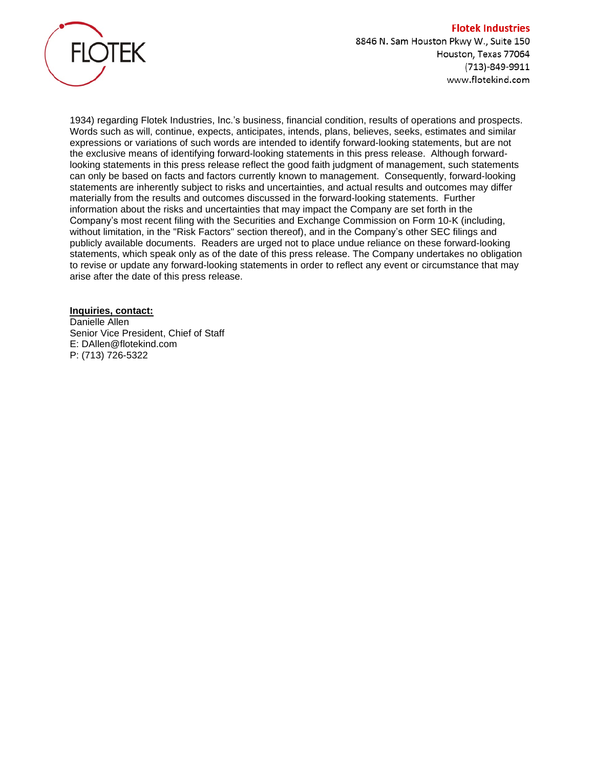

1934) regarding Flotek Industries, Inc.'s business, financial condition, results of operations and prospects. Words such as will, continue, expects, anticipates, intends, plans, believes, seeks, estimates and similar expressions or variations of such words are intended to identify forward-looking statements, but are not the exclusive means of identifying forward-looking statements in this press release. Although forwardlooking statements in this press release reflect the good faith judgment of management, such statements can only be based on facts and factors currently known to management. Consequently, forward-looking statements are inherently subject to risks and uncertainties, and actual results and outcomes may differ materially from the results and outcomes discussed in the forward-looking statements. Further information about the risks and uncertainties that may impact the Company are set forth in the Company's most recent filing with the Securities and Exchange Commission on Form 10-K (including, without limitation, in the "Risk Factors" section thereof), and in the Company's other SEC filings and publicly available documents. Readers are urged not to place undue reliance on these forward-looking statements, which speak only as of the date of this press release. The Company undertakes no obligation to revise or update any forward-looking statements in order to reflect any event or circumstance that may arise after the date of this press release.

**Inquiries, contact:** Danielle Allen Senior Vice President, Chief of Staff E: DAllen@flotekind.com P: (713) 726-5322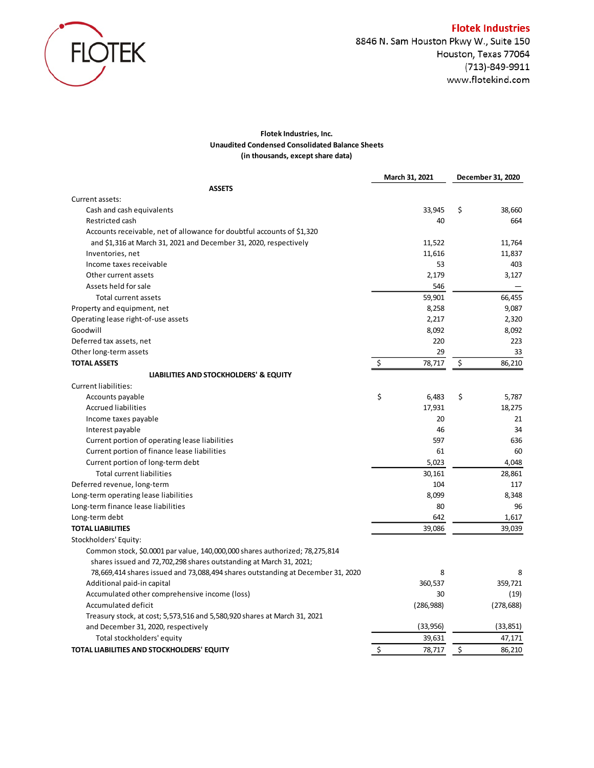

#### **Flotek Industries, Inc. Unaudited Condensed Consolidated Balance Sheets (in thousands, except share data)**

|                                                                                 | March 31, 2021 | December 31, 2020 |
|---------------------------------------------------------------------------------|----------------|-------------------|
| <b>ASSETS</b>                                                                   |                |                   |
| Current assets:                                                                 |                |                   |
| Cash and cash equivalents                                                       | 33,945         | \$<br>38,660      |
| Restricted cash                                                                 | 40             | 664               |
| Accounts receivable, net of allowance for doubtful accounts of \$1,320          |                |                   |
| and \$1,316 at March 31, 2021 and December 31, 2020, respectively               | 11,522         | 11,764            |
| Inventories, net                                                                | 11,616         | 11,837            |
| Income taxes receivable                                                         | 53             | 403               |
| Other current assets                                                            | 2,179          | 3,127             |
| Assets held for sale                                                            | 546            |                   |
| Total current assets                                                            | 59,901         | 66,455            |
| Property and equipment, net                                                     | 8,258          | 9,087             |
| Operating lease right-of-use assets                                             | 2,217          | 2,320             |
| Goodwill                                                                        | 8,092          | 8,092             |
| Deferred tax assets, net                                                        | 220            | 223               |
| Other long-term assets                                                          | 29             | 33                |
| <b>TOTAL ASSETS</b>                                                             | \$<br>78,717   | \$<br>86,210      |
| LIABILITIES AND STOCKHOLDERS' & EQUITY                                          |                |                   |
| <b>Current liabilities:</b>                                                     |                |                   |
| Accounts payable                                                                | \$<br>6,483    | \$<br>5,787       |
| <b>Accrued liabilities</b>                                                      | 17,931         | 18,275            |
| Income taxes payable                                                            | 20             | 21                |
| Interest payable                                                                | 46             | 34                |
| Current portion of operating lease liabilities                                  | 597            | 636               |
| Current portion of finance lease liabilities                                    | 61             | 60                |
| Current portion of long-term debt                                               | 5,023          | 4,048             |
| <b>Total current liabilities</b>                                                | 30,161         | 28,861            |
| Deferred revenue, long-term                                                     | 104            | 117               |
| Long-term operating lease liabilities                                           | 8,099          | 8,348             |
| Long-term finance lease liabilities                                             | 80             | 96                |
| Long-term debt                                                                  | 642            | 1,617             |
| <b>TOTAL LIABILITIES</b>                                                        | 39,086         | 39,039            |
| Stockholders' Equity:                                                           |                |                   |
| Common stock, \$0.0001 par value, 140,000,000 shares authorized; 78,275,814     |                |                   |
| shares issued and 72,702,298 shares outstanding at March 31, 2021;              |                |                   |
| 78,669,414 shares issued and 73,088,494 shares outstanding at December 31, 2020 | 8              | 8                 |
| Additional paid-in capital                                                      | 360,537        | 359,721           |
| Accumulated other comprehensive income (loss)                                   | 30             | (19)              |
| Accumulated deficit                                                             | (286,988)      | (278, 688)        |
| Treasury stock, at cost; 5,573,516 and 5,580,920 shares at March 31, 2021       |                |                   |
| and December 31, 2020, respectively                                             | (33, 956)      | (33, 851)         |
| Total stockholders' equity                                                      | 39,631         | 47,171            |
| TOTAL LIABILITIES AND STOCKHOLDERS' EQUITY                                      | \$<br>78,717   | \$<br>86,210      |
|                                                                                 |                |                   |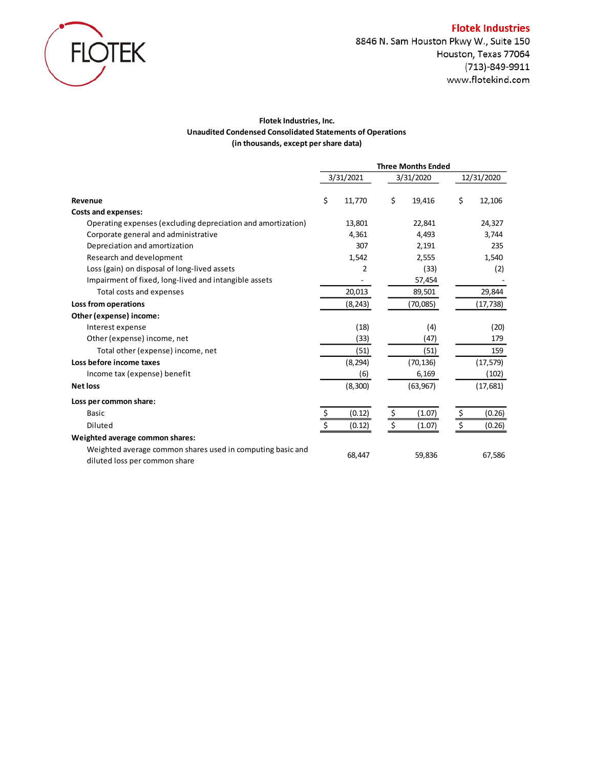

8846 N. Sam Houston Pkwy W., Suite 150 Houston, Texas 77064 (713)-849-9911 www.flotekind.com

## **Flotek Industries, Inc. Unaudited Condensed Consolidated Statements of Operations (in thousands, except per share data)**

|                                                                                             | <b>Three Months Ended</b> |    |           |    |            |
|---------------------------------------------------------------------------------------------|---------------------------|----|-----------|----|------------|
|                                                                                             | 3/31/2021                 |    | 3/31/2020 |    | 12/31/2020 |
| Revenue                                                                                     | \$<br>11,770              | \$ | 19,416    | \$ | 12,106     |
| <b>Costs and expenses:</b>                                                                  |                           |    |           |    |            |
| Operating expenses (excluding depreciation and amortization)                                | 13,801                    |    | 22,841    |    | 24,327     |
| Corporate general and administrative                                                        | 4,361                     |    | 4,493     |    | 3,744      |
| Depreciation and amortization                                                               | 307                       |    | 2,191     |    | 235        |
| Research and development                                                                    | 1,542                     |    | 2,555     |    | 1,540      |
| Loss (gain) on disposal of long-lived assets                                                | 2                         |    | (33)      |    | (2)        |
| Impairment of fixed, long-lived and intangible assets                                       |                           |    | 57,454    |    |            |
| Total costs and expenses                                                                    | 20,013                    |    | 89,501    |    | 29,844     |
| Loss from operations                                                                        | (8, 243)                  |    | (70,085)  |    | (17,738)   |
| Other (expense) income:                                                                     |                           |    |           |    |            |
| Interest expense                                                                            | (18)                      |    | (4)       |    | (20)       |
| Other (expense) income, net                                                                 | (33)                      |    | (47)      |    | 179        |
| Total other (expense) income, net                                                           | (51)                      |    | (51)      |    | 159        |
| Loss before income taxes                                                                    | (8, 294)                  |    | (70, 136) |    | (17, 579)  |
| Income tax (expense) benefit                                                                | (6)                       |    | 6,169     |    | (102)      |
| <b>Net loss</b>                                                                             | (8, 300)                  |    | (63, 967) |    | (17, 681)  |
| Loss per common share:                                                                      |                           |    |           |    |            |
| <b>Basic</b>                                                                                | \$<br>(0.12)              | \$ | (1.07)    | \$ | (0.26)     |
| Diluted                                                                                     | \$<br>(0.12)              | \$ | (1.07)    | \$ | (0.26)     |
| Weighted average common shares:                                                             |                           |    |           |    |            |
| Weighted average common shares used in computing basic and<br>diluted loss per common share | 68,447                    |    | 59,836    |    | 67,586     |

#### **Flotek Industries**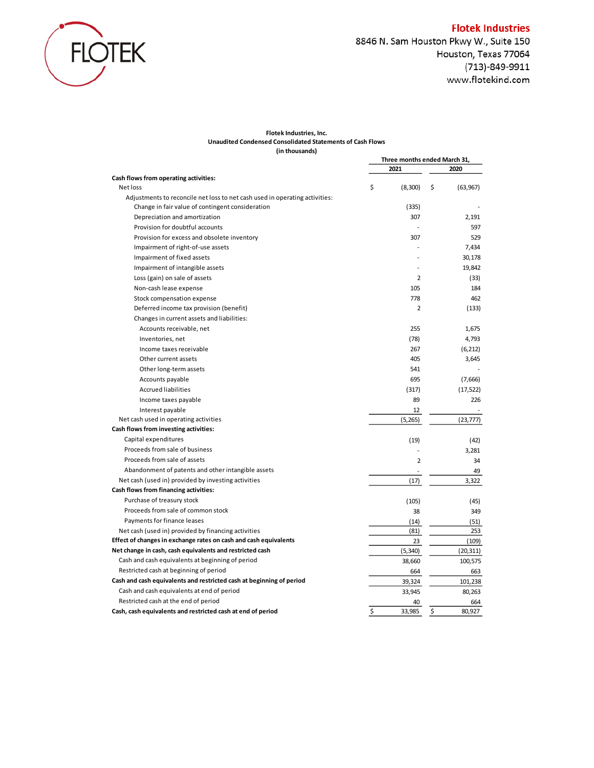

#### **Flotek Industries, Inc. Unaudited Condensed Consolidated Statements of Cash Flows (in thousands)**

|                                                                             |    | Three months ended March 31, |    |           |
|-----------------------------------------------------------------------------|----|------------------------------|----|-----------|
|                                                                             |    | 2021                         |    | 2020      |
| Cash flows from operating activities:                                       |    |                              |    |           |
| Net loss                                                                    | \$ | (8,300)                      | \$ | (63, 967) |
| Adjustments to reconcile net loss to net cash used in operating activities: |    |                              |    |           |
| Change in fair value of contingent consideration                            |    | (335)                        |    |           |
| Depreciation and amortization                                               |    | 307                          |    | 2,191     |
| Provision for doubtful accounts                                             |    |                              |    | 597       |
| Provision for excess and obsolete inventory                                 |    | 307                          |    | 529       |
| Impairment of right-of-use assets                                           |    |                              |    | 7,434     |
| Impairment of fixed assets                                                  |    |                              |    | 30,178    |
| Impairment of intangible assets                                             |    |                              |    | 19,842    |
| Loss (gain) on sale of assets                                               |    | $\overline{2}$               |    | (33)      |
| Non-cash lease expense                                                      |    | 105                          |    | 184       |
| Stock compensation expense                                                  |    | 778                          |    | 462       |
| Deferred income tax provision (benefit)                                     |    | $\overline{2}$               |    | (133)     |
| Changes in current assets and liabilities:                                  |    |                              |    |           |
| Accounts receivable, net                                                    |    | 255                          |    | 1,675     |
| Inventories, net                                                            |    | (78)                         |    | 4,793     |
| Income taxes receivable                                                     |    | 267                          |    | (6, 212)  |
| Other current assets                                                        |    | 405                          |    | 3,645     |
| Other long-term assets                                                      |    | 541                          |    |           |
| Accounts payable                                                            |    | 695                          |    | (7,666)   |
| <b>Accrued liabilities</b>                                                  |    | (317)                        |    | (17, 522) |
| Income taxes payable                                                        |    | 89                           |    | 226       |
| Interest payable                                                            |    | 12                           |    |           |
| Net cash used in operating activities                                       |    | (5, 265)                     |    | (23, 777) |
| Cash flows from investing activities:                                       |    |                              |    |           |
| Capital expenditures                                                        |    | (19)                         |    | (42)      |
| Proceeds from sale of business                                              |    |                              |    | 3,281     |
| Proceeds from sale of assets                                                |    | $\overline{2}$               |    | 34        |
| Abandonment of patents and other intangible assets                          |    |                              |    | 49        |
| Net cash (used in) provided by investing activities                         |    | (17)                         |    | 3,322     |
| Cash flows from financing activities:                                       |    |                              |    |           |
| Purchase of treasury stock                                                  |    | (105)                        |    | (45)      |
| Proceeds from sale of common stock                                          |    | 38                           |    | 349       |
| Payments for finance leases                                                 |    | (14)                         |    | (51)      |
| Net cash (used in) provided by financing activities                         |    | (81)                         |    | 253       |
| Effect of changes in exchange rates on cash and cash equivalents            |    | 23                           |    | (109)     |
| Net change in cash, cash equivalents and restricted cash                    |    | (5, 340)                     |    | (20, 311) |
| Cash and cash equivalents at beginning of period                            |    | 38,660                       |    | 100,575   |
| Restricted cash at beginning of period                                      |    | 664                          |    | 663       |
| Cash and cash equivalents and restricted cash at beginning of period        |    | 39,324                       |    | 101,238   |
| Cash and cash equivalents at end of period                                  |    | 33,945                       |    | 80,263    |
| Restricted cash at the end of period                                        |    | 40                           |    | 664       |
| Cash, cash equivalents and restricted cash at end of period                 | Ś  | 33.985                       | \$ | 80,927    |